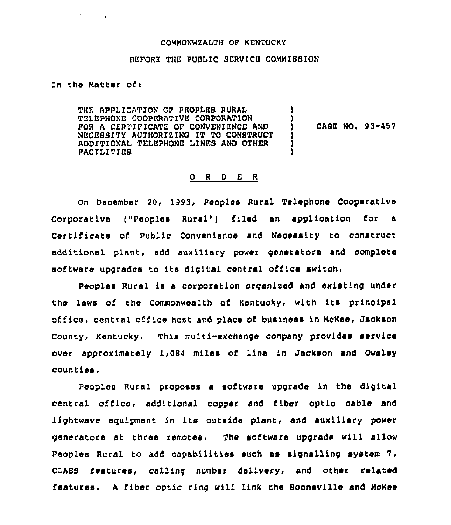## COMMONWEALTH QF HENTUCKY

## BEFORE THE PUBLIC SERVICE COMMISSION

## In the Matter ofi

V.

THE APPLICATION OF PEOPLES RURAL TELEPHONL'OOPERATIVE CORPORATION FOR A CERTIFICATE OF CONVENIENCE AND NECESSITY AUTHORIEINQ IT TO CONSTRUCT ADDITIONAL TELEPHONE LINES AND OTHER FACILITIES ) ) CASE NO. 93-457 ) ) )

## ORDER

On December 20, 1993, Peoples Rural Telephone Cooperative Corporative ("Peoples Rural") filed an application for a Certificate of Public Convenienoe and Necessity to construct additional plant, add auxiliary power generators and complete software upgrades to its digital central office switch.

Peoples Rural is a corporation organized and existing under the laws of the Commonwealth of Kentucky, with its principal office, central office host and place of business in McHee, Jackson County, Kentucky. This multi-exchange company provides service over approximately 1,084 miles of line in Jackson and Owsley counties.

Peoples Rural proposes a software upgrade in the digital central office, additional copper and fiber optic cable and lightwave equipment in its outside plant, and auxiliary power generators at three remotes, The software upgrade will allow Peoples Rural to add capabilities such as signalling system 7, CLASS features, ceiling number delivery, and other related features. <sup>A</sup> fiber optic ring will link ths Booneville and McKee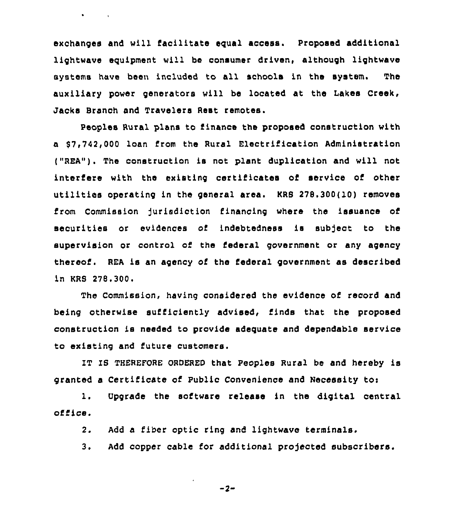exchanges and will facilitate agual access. Proposed additional lightwava aquipmant will be consumer driven, although lightwave systems have bean included to all schools in the system, The auxiliary power generators will be located at the Lakes Creek, Jacks Branch and Travelers Rest remotas.

 $\bullet$  and  $\bullet$  and  $\bullet$ 

Peoples Rural plans to finance tha proposed construction with a \$7,742,000 loan from the Rural Electrification Administration ("REA"). The construction is not plant duplication and will not interfere with the existing certificates of service of other utilities operating in the general area. KRS 278.300(10) removes from Commission jurisdiction financing where the issuance of securities or evidences of indebtedness is subject to the supervision or control of the federal government or any agency thereof. REA is an agency of the federal government as described in RRS 278,300.

The Commission, having considered tha evidence of record and being otherwise sufficiently advised, finds that the proposed construction is needed to provide adequate and dependable service to existing and future customers.

IT IS THEREFORE ORDERED that Peoples Rural be and hereby is granted a Certificate of Public Convenience and Necessity toi

Upgrade the software release in tha digital central 1. office.

 $2.$ Add a fiber optic ring and lightwava terminals.

Add copper cable for additional projected subscribers.3.

$$
-2 -
$$